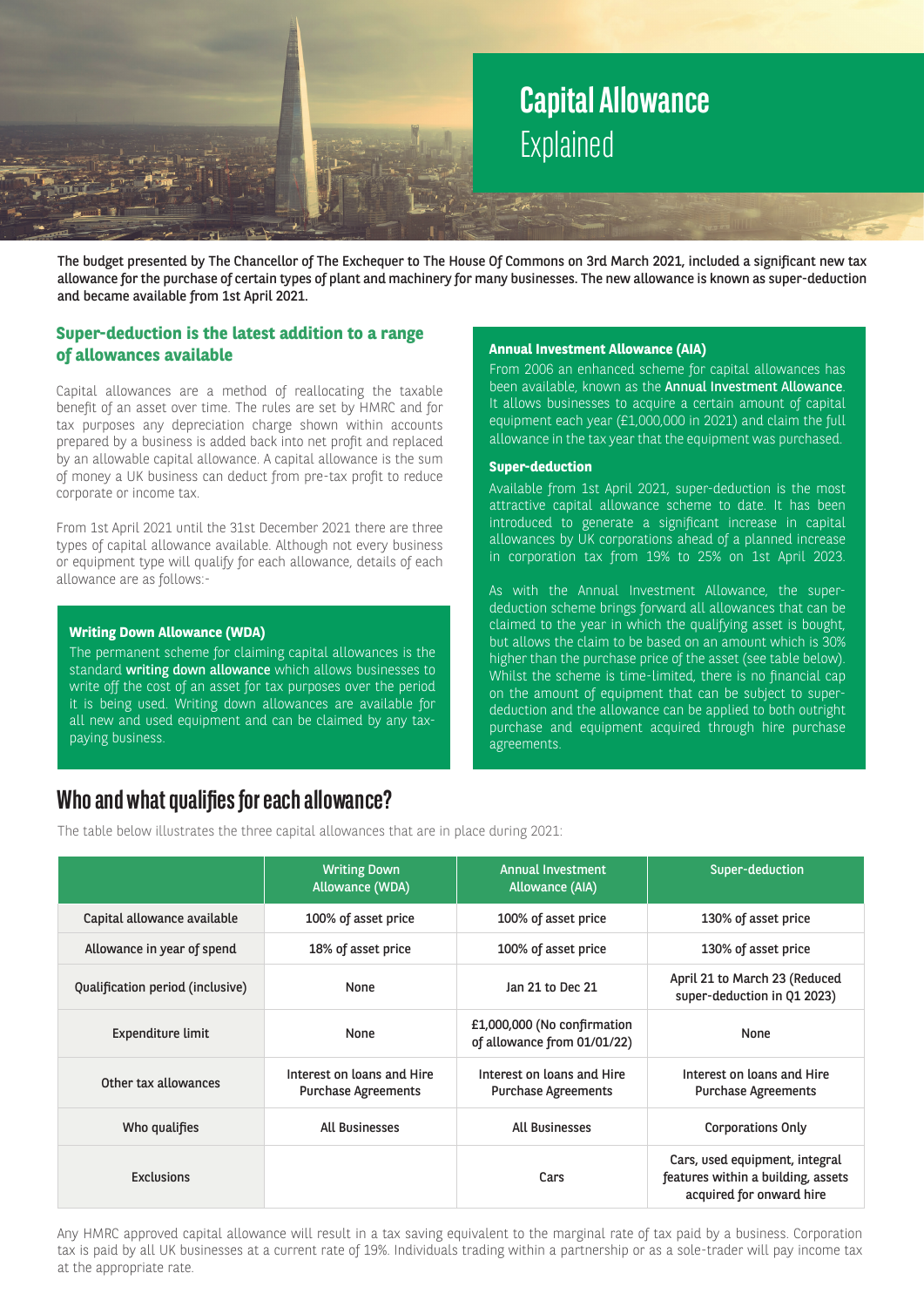# **Capital Allowance**  Explained

The budget presented by The Chancellor of The Exchequer to The House Of Commons on 3rd March 2021, included a significant new tax allowance for the purchase of certain types of plant and machinery for many businesses. The new allowance is known as super-deduction and became available from 1st April 2021.

## **Super-deduction is the latest addition to a range of allowances available**

Capital allowances are a method of reallocating the taxable benefit of an asset over time. The rules are set by HMRC and for tax purposes any depreciation charge shown within accounts prepared by a business is added back into net profit and replaced by an allowable capital allowance. A capital allowance is the sum of money a UK business can deduct from pre-tax profit to reduce corporate or income tax.

From 1st April 2021 until the 31st December 2021 there are three types of capital allowance available. Although not every business or equipment type will qualify for each allowance, details of each allowance are as follows:-

#### **Writing Down Allowance (WDA)**

The permanent scheme for claiming capital allowances is the standard writing down allowance which allows businesses to write off the cost of an asset for tax purposes over the period it is being used. Writing down allowances are available for all new and used equipment and can be claimed by any taxpaying business.

#### **Annual Investment Allowance (AIA)**

From 2006 an enhanced scheme for capital allowances has been available, known as the **Annual Investment Allowance**. It allows businesses to acquire a certain amount of capital equipment each year (£1,000,000 in 2021) and claim the full allowance in the tax year that the equipment was purchased..

#### **Super-deduction**

Available from 1st April 2021, super-deduction is the most attractive capital allowance scheme to date. It has been introduced to generate a significant increase in capital allowances by UK corporations ahead of a planned increase in corporation tax from 19% to 25% on 1st April 2023.

As with the Annual Investment Allowance, the superdeduction scheme brings forward all allowances that can be claimed to the year in which the qualifying asset is bought, but allows the claim to be based on an amount which is 30% higher than the purchase price of the asset (see table below). Whilst the scheme is time-limited, there is no financial cap on the amount of equipment that can be subject to superdeduction and the allowance can be applied to both outright purchase and equipment acquired through hire purchase agreements.

# **Who and what qualifies for each allowance?**

The table below illustrates the three capital allowances that are in place during 2021:

|                                  | <b>Writing Down</b><br><b>Allowance (WDA)</b>            | <b>Annual Investment</b><br>Allowance (AIA)                | Super-deduction                                                                                  |
|----------------------------------|----------------------------------------------------------|------------------------------------------------------------|--------------------------------------------------------------------------------------------------|
| Capital allowance available      | 100% of asset price                                      | 100% of asset price                                        | 130% of asset price                                                                              |
| Allowance in year of spend       | 18% of asset price                                       | 100% of asset price                                        | 130% of asset price                                                                              |
| Qualification period (inclusive) | None                                                     | Jan 21 to Dec 21                                           | April 21 to March 23 (Reduced<br>super-deduction in Q1 2023)                                     |
| Expenditure limit                | None                                                     | £1,000,000 (No confirmation<br>of allowance from 01/01/22) | None                                                                                             |
| Other tax allowances             | Interest on loans and Hire<br><b>Purchase Agreements</b> | Interest on loans and Hire<br><b>Purchase Agreements</b>   | Interest on loans and Hire<br><b>Purchase Agreements</b>                                         |
| Who qualifies                    | <b>All Businesses</b>                                    | <b>All Businesses</b>                                      | <b>Corporations Only</b>                                                                         |
| Exclusions                       |                                                          | Cars                                                       | Cars, used equipment, integral<br>features within a building, assets<br>acquired for onward hire |

Any HMRC approved capital allowance will result in a tax saving equivalent to the marginal rate of tax paid by a business. Corporation tax is paid by all UK businesses at a current rate of 19%. Individuals trading within a partnership or as a sole-trader will pay income tax at the appropriate rate.